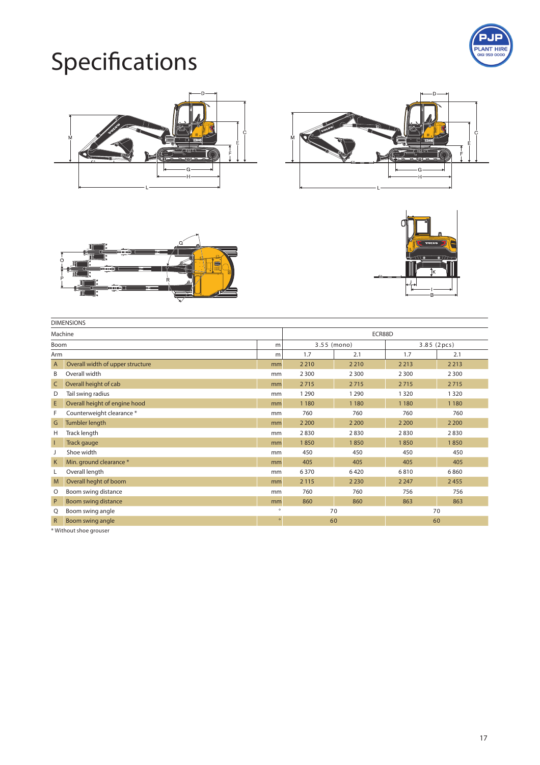

## Specifications









| <b>DIMENSIONS</b> |                                  |         |             |         |         |             |  |  |
|-------------------|----------------------------------|---------|-------------|---------|---------|-------------|--|--|
| Machine           |                                  |         | ECR88D      |         |         |             |  |  |
| Boom              |                                  | m       | 3.55 (mono) |         |         | 3.85 (2pcs) |  |  |
| Arm               |                                  | m       | 1.7         | 2.1     | 1.7     | 2.1         |  |  |
| $\mathsf{A}$      | Overall width of upper structure | mm      | 2 2 1 0     | 2 2 1 0 | 2 2 1 3 | 2 2 1 3     |  |  |
| В                 | Overall width                    | mm      | 2 3 0 0     | 2 3 0 0 | 2 3 0 0 | 2 3 0 0     |  |  |
| C                 | Overall height of cab            | mm      | 2715        | 2715    | 2715    | 2715        |  |  |
| D                 | Tail swing radius                | mm      | 1 2 9 0     | 1 2 9 0 | 1 3 2 0 | 1 3 2 0     |  |  |
| E                 | Overall height of engine hood    | mm      | 1 1 8 0     | 1 1 8 0 | 1 1 8 0 | 1 1 8 0     |  |  |
| F                 | Counterweight clearance *        | mm      | 760         | 760     | 760     | 760         |  |  |
| G                 | <b>Tumbler length</b>            | mm      | 2 2 0 0     | 2 2 0 0 | 2 2 0 0 | 2 2 0 0     |  |  |
| Н                 | Track length                     | mm      | 2830        | 2830    | 2830    | 2830        |  |  |
| -1                | Track gauge                      | mm      | 1850        | 1850    | 1850    | 1850        |  |  |
|                   | Shoe width                       | mm      | 450         | 450     | 450     | 450         |  |  |
| K                 | Min. ground clearance *          | mm      | 405         | 405     | 405     | 405         |  |  |
| L                 | Overall length                   | mm      | 6370        | 6420    | 6810    | 6860        |  |  |
| M                 | Overall heght of boom            | mm      | 2 1 1 5     | 2 2 3 0 | 2 2 4 7 | 2455        |  |  |
| O                 | Boom swing distance              | mm      | 760         | 760     | 756     | 756         |  |  |
| P                 | Boom swing distance              | mm      | 860         | 860     | 863     | 863         |  |  |
| Q                 | Boom swing angle                 | $\circ$ |             | 70      |         | 70          |  |  |
| $\mathsf{R}$      | Boom swing angle                 | $\circ$ |             | 60      |         | 60          |  |  |
|                   |                                  |         |             |         |         |             |  |  |

\* Without shoe grouser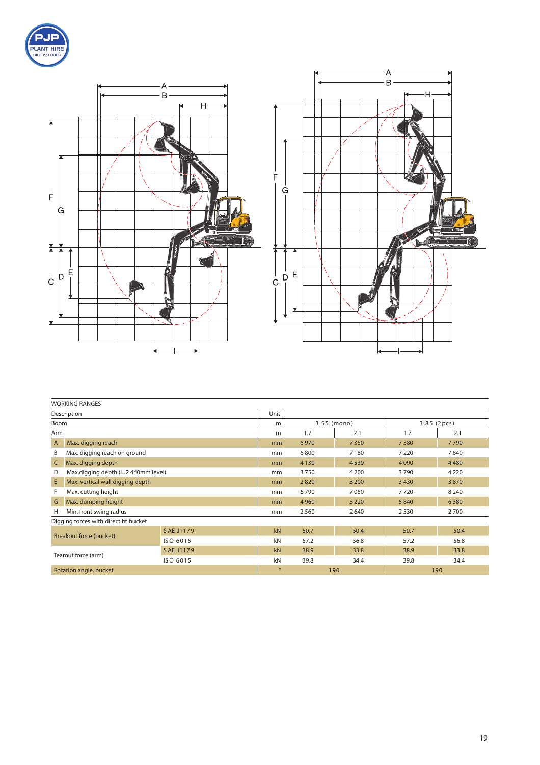





|                                | <b>WORKING RANGES</b>                 |           |         |             |         |            |         |
|--------------------------------|---------------------------------------|-----------|---------|-------------|---------|------------|---------|
| Description                    |                                       |           |         |             |         |            |         |
| Boom                           |                                       |           | m       | 3.55 (mono) |         | 3.85(2pcs) |         |
| Arm                            |                                       | m         | 1.7     | 2.1         | 1.7     | 2.1        |         |
| $\overline{A}$                 | Max. digging reach                    |           | mm      | 6970        | 7 3 5 0 | 7380       | 7790    |
| B                              | Max. digging reach on ground          |           |         | 6800        | 7 1 8 0 | 7 2 2 0    | 7640    |
| $\mathsf{C}$                   | Max. digging depth                    |           | mm      | 4 1 3 0     | 4 5 3 0 | 4090       | 4480    |
| D                              | Max.digging depth (I=2 440mm level)   |           | mm      | 3750        | 4 2 0 0 | 3790       | 4 2 2 0 |
| E                              | Max. vertical wall digging depth      |           | mm      | 2820        | 3 2 0 0 | 3430       | 3870    |
| F                              | Max. cutting height                   |           |         | 6790        | 7050    | 7720       | 8 2 4 0 |
| G                              | Max. dumping height                   |           |         | 4 9 6 0     | 5 2 2 0 | 5840       | 6380    |
| H                              | Min. front swing radius               |           |         | 2 5 6 0     | 2640    | 2530       | 2700    |
|                                | Digging forces with direct fit bucket |           |         |             |         |            |         |
|                                | SAE J1179                             |           |         | 50.7        | 50.4    | 50.7       | 50.4    |
| <b>Breakout force (bucket)</b> |                                       | ISO 6015  | kN      | 57.2        | 56.8    | 57.2       | 56.8    |
| Tearout force (arm)            |                                       | SAE J1179 | kN      | 38.9        | 33.8    | 38.9       | 33.8    |
|                                |                                       | ISO 6015  | kN      | 39.8        | 34.4    | 39.8       | 34.4    |
| Rotation angle, bucket         |                                       |           | $\circ$ | 190         |         | 190        |         |